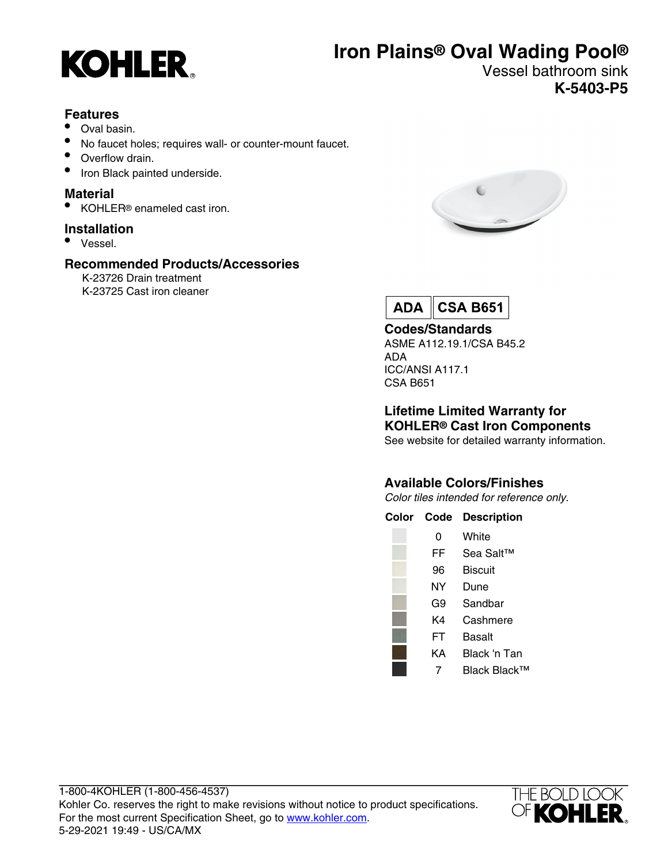

# **Iron Plains® Oval Wading Pool®**

Vessel bathroom sink **K-5403-P5**

### **Features**

- Oval basin.
- No faucet holes; requires wall- or counter-mount faucet.
- Overflow drain.
- Iron Black painted underside.

### **Material**

• KOHLER<sup>®</sup> enameled cast iron.

### **Installation**

• Vessel.

### **Recommended Products/Accessories**

K-23726 Drain treatment K-23725 Cast iron cleaner





### **Codes/Standards**

ASME A112.19.1/CSA B45.2 ADA ICC/ANSI A117.1 CSA B651

### **Lifetime Limited Warranty for KOHLER® Cast Iron Components**

See website for detailed warranty information.

### **Available Colors/Finishes**

Color tiles intended for reference only.

**Color Code Description**

| ი  | White        |
|----|--------------|
| FF | Sea Salt™    |
| 96 | Biscuit      |
| NΥ | Dune         |
| G9 | Sandhar      |
| K4 | Cashmere     |
| FT | Basalt       |
| KΑ | Black 'n Tan |
| 7  | Black Black™ |
|    |              |